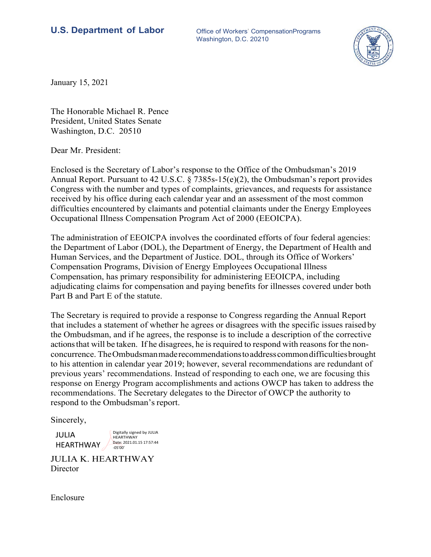## **U.S. Department of Labor** Office of Workers' CompensationPrograms

Washington, D.C. 20210



January 15, 2021

The Honorable Michael R. Pence President, United States Senate Washington, D.C. 20510

Dear Mr. President:

Enclosed is the Secretary of Labor's response to the Office of the Ombudsman's 2019 Annual Report. Pursuant to 42 U.S.C. § 7385s-15(e)(2), the Ombudsman's report provides Congress with the number and types of complaints, grievances, and requests for assistance received by his office during each calendar year and an assessment of the most common difficulties encountered by claimants and potential claimants under the Energy Employees Occupational Illness Compensation Program Act of 2000 (EEOICPA).

The administration of EEOICPA involves the coordinated efforts of four federal agencies: the Department of Labor (DOL), the Department of Energy, the Department of Health and Human Services, and the Department of Justice. DOL, through its Office of Workers' Compensation Programs, Division of Energy Employees Occupational Illness Compensation, has primary responsibility for administering EEOICPA, including adjudicating claims for compensation and paying benefits for illnesses covered under both Part B and Part E of the statute.

The Secretary is required to provide a response to Congress regarding the Annual Report that includes a statement of whether he agrees or disagrees with the specific issues raised by the Ombudsman, and if he agrees, the response is to include a description of the corrective actions that will be taken. If he disagrees, he is required to respond with reasons for the nonconcurrence. The Ombudsman made recommendations to address common difficulties brought to his attention in calendar year 2019; however, several recommendations are redundant of previous years' recommendations. Instead of responding to each one, we are focusing this response on Energy Program accomplishments and actions OWCP has taken to address the recommendations. The Secretary delegates to the Director of OWCP the authority to respond to the Ombudsman's report.

Sincerely,

JULIA HEARTHWAY Digitally signed by JULIA **HEARTHWAY** Date: 2021.01.15 17:57:44 ‐05'00'

JULIA K. HEARTHWAY **Director** 

Enclosure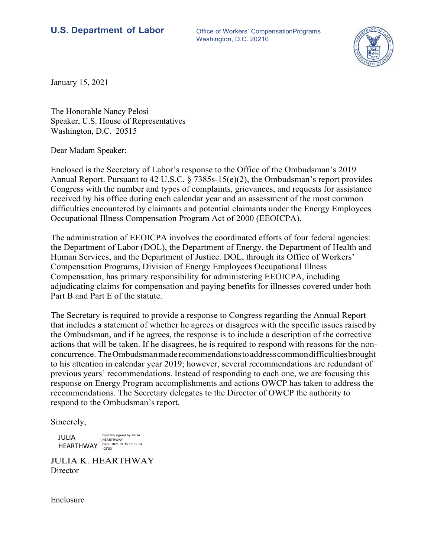## **U.S. Department of Labor** Office of Workers' CompensationPrograms

Washington, D.C. 20210



January 15, 2021

The Honorable Nancy Pelosi Speaker, U.S. House of Representatives Washington, D.C. 20515

Dear Madam Speaker:

Enclosed is the Secretary of Labor's response to the Office of the Ombudsman's 2019 Annual Report. Pursuant to 42 U.S.C. § 7385s-15(e)(2), the Ombudsman's report provides Congress with the number and types of complaints, grievances, and requests for assistance received by his office during each calendar year and an assessment of the most common difficulties encountered by claimants and potential claimants under the Energy Employees Occupational Illness Compensation Program Act of 2000 (EEOICPA).

The administration of EEOICPA involves the coordinated efforts of four federal agencies: the Department of Labor (DOL), the Department of Energy, the Department of Health and Human Services, and the Department of Justice. DOL, through its Office of Workers' Compensation Programs, Division of Energy Employees Occupational Illness Compensation, has primary responsibility for administering EEOICPA, including adjudicating claims for compensation and paying benefits for illnesses covered under both Part B and Part E of the statute.

The Secretary is required to provide a response to Congress regarding the Annual Report that includes a statement of whether he agrees or disagrees with the specific issues raised by the Ombudsman, and if he agrees, the response is to include a description of the corrective actions that will be taken. If he disagrees, he is required to respond with reasons for the nonconcurrence. The Ombudsman made recommendations to address common difficulties brought to his attention in calendar year 2019; however, several recommendations are redundant of previous years' recommendations. Instead of responding to each one, we are focusing this response on Energy Program accomplishments and actions OWCP has taken to address the recommendations. The Secretary delegates to the Director of OWCP the authority to respond to the Ombudsman's report.

Sincerely,

JULIA HEARTHWAY HEARTHWAY Date: 2021.01.15 17:58:54 ‐05'00' Digitally signed by JULIA

JULIA K. HEARTHWAY **Director** 

Enclosure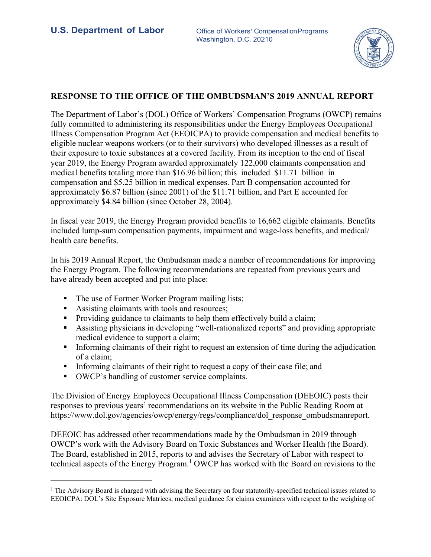

## **RESPONSE TO THE OFFICE OF THE OMBUDSMAN'S 2019 ANNUAL REPORT**

The Department of Labor's (DOL) Office of Workers' Compensation Programs (OWCP) remains fully committed to administering its responsibilities under the Energy Employees Occupational Illness Compensation Program Act (EEOICPA) to provide compensation and medical benefits to eligible nuclear weapons workers (or to their survivors) who developed illnesses as a result of their exposure to toxic substances at a covered facility. From its inception to the end of fiscal year 2019, the Energy Program awarded approximately 122,000 claimants compensation and medical benefits totaling more than \$16.96 billion; this included \$11.71 billion in compensation and \$5.25 billion in medical expenses. Part B compensation accounted for approximately \$6.87 billion (since 2001) of the \$11.71 billion, and Part E accounted for approximately \$4.84 billion (since October 28, 2004).

In fiscal year 2019, the Energy Program provided benefits to 16,662 eligible claimants. Benefits included lump-sum compensation payments, impairment and wage-loss benefits, and medical/ health care benefits.

In his 2019 Annual Report, the Ombudsman made a number of recommendations for improving the Energy Program. The following recommendations are repeated from previous years and have already been accepted and put into place:

- The use of Former Worker Program mailing lists;
- Assisting claimants with tools and resources;
- **Providing guidance to claimants to help them effectively build a claim;**
- Assisting physicians in developing "well-rationalized reports" and providing appropriate medical evidence to support a claim;
- Informing claimants of their right to request an extension of time during the adjudication of a claim;
- Informing claimants of their right to request a copy of their case file; and
- OWCP's handling of customer service complaints.

The Division of Energy Employees Occupational Illness Compensation (DEEOIC) posts their responses to previous years' recommendations on its website in the Public Reading Room at https://www.dol.gov/agencies/owcp/energy/regs/compliance/dol\_response\_ombudsmanreport.

DEEOIC has addressed other recommendations made by the Ombudsman in 2019 through OWCP's work with the Advisory Board on Toxic Substances and Worker Health (the Board). The Board, established in 2015, reports to and advises the Secretary of Labor with respect to technical aspects of the Energy Program.<sup>1</sup> OWCP has worked with the Board on revisions to the

<sup>&</sup>lt;sup>1</sup> The Advisory Board is charged with advising the Secretary on four statutorily-specified technical issues related to EEOICPA: DOL's Site Exposure Matrices; medical guidance for claims examiners with respect to the weighing of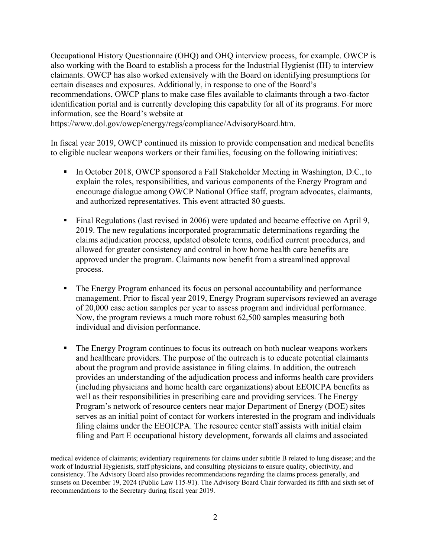Occupational History Questionnaire (OHQ) and OHQ interview process, for example. OWCP is also working with the Board to establish a process for the Industrial Hygienist (IH) to interview claimants. OWCP has also worked extensively with the Board on identifying presumptions for certain diseases and exposures. Additionally, in response to one of the Board's recommendations, OWCP plans to make case files available to claimants through a two-factor identification portal and is currently developing this capability for all of its programs. For more information, see the Board's website at

https://www.dol.gov/owcp/energy/regs/compliance/AdvisoryBoard.htm.

In fiscal year 2019, OWCP continued its mission to provide compensation and medical benefits to eligible nuclear weapons workers or their families, focusing on the following initiatives:

- In October 2018, OWCP sponsored a Fall Stakeholder Meeting in Washington, D.C., to explain the roles, responsibilities, and various components of the Energy Program and encourage dialogue among OWCP National Office staff, program advocates, claimants, and authorized representatives. This event attracted 80 guests.
- Final Regulations (last revised in 2006) were updated and became effective on April 9, 2019. The new regulations incorporated programmatic determinations regarding the claims adjudication process, updated obsolete terms, codified current procedures, and allowed for greater consistency and control in how home health care benefits are approved under the program. Claimants now benefit from a streamlined approval process.
- The Energy Program enhanced its focus on personal accountability and performance management. Prior to fiscal year 2019, Energy Program supervisors reviewed an average of 20,000 case action samples per year to assess program and individual performance. Now, the program reviews a much more robust 62,500 samples measuring both individual and division performance.
- The Energy Program continues to focus its outreach on both nuclear weapons workers and healthcare providers. The purpose of the outreach is to educate potential claimants about the program and provide assistance in filing claims. In addition, the outreach provides an understanding of the adjudication process and informs health care providers (including physicians and home health care organizations) about EEOICPA benefits as well as their responsibilities in prescribing care and providing services. The Energy Program's network of resource centers near major Department of Energy (DOE) sites serves as an initial point of contact for workers interested in the program and individuals filing claims under the EEOICPA. The resource center staff assists with initial claim filing and Part E occupational history development, forwards all claims and associated

medical evidence of claimants; evidentiary requirements for claims under subtitle B related to lung disease; and the work of Industrial Hygienists, staff physicians, and consulting physicians to ensure quality, objectivity, and consistency. The Advisory Board also provides recommendations regarding the claims process generally, and sunsets on December 19, 2024 (Public Law 115-91). The Advisory Board Chair forwarded its fifth and sixth set of recommendations to the Secretary during fiscal year 2019.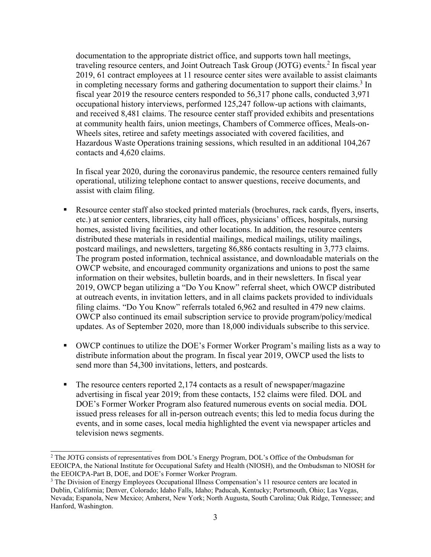documentation to the appropriate district office, and supports town hall meetings, traveling resource centers, and Joint Outreach Task Group (JOTG) events.<sup>2</sup> In fiscal year 2019, 61 contract employees at 11 resource center sites were available to assist claimants in completing necessary forms and gathering documentation to support their claims.<sup>3</sup> In fiscal year 2019 the resource centers responded to 56,317 phone calls, conducted 3,971 occupational history interviews, performed 125,247 follow-up actions with claimants, and received 8,481 claims. The resource center staff provided exhibits and presentations at community health fairs, union meetings, Chambers of Commerce offices, Meals-on-Wheels sites, retiree and safety meetings associated with covered facilities, and Hazardous Waste Operations training sessions, which resulted in an additional 104,267 contacts and 4,620 claims.

In fiscal year 2020, during the coronavirus pandemic, the resource centers remained fully operational, utilizing telephone contact to answer questions, receive documents, and assist with claim filing.

- Resource center staff also stocked printed materials (brochures, rack cards, flyers, inserts, etc.) at senior centers, libraries, city hall offices, physicians' offices, hospitals, nursing homes, assisted living facilities, and other locations. In addition, the resource centers distributed these materials in residential mailings, medical mailings, utility mailings, postcard mailings, and newsletters, targeting 86,886 contacts resulting in 3,773 claims. The program posted information, technical assistance, and downloadable materials on the OWCP website, and encouraged community organizations and unions to post the same information on their websites, bulletin boards, and in their newsletters. In fiscal year 2019, OWCP began utilizing a "Do You Know" referral sheet, which OWCP distributed at outreach events, in invitation letters, and in all claims packets provided to individuals filing claims. "Do You Know" referrals totaled 6,962 and resulted in 479 new claims. OWCP also continued its email subscription service to provide program/policy/medical updates. As of September 2020, more than 18,000 individuals subscribe to this service.
- OWCP continues to utilize the DOE's Former Worker Program's mailing lists as a way to distribute information about the program. In fiscal year 2019, OWCP used the lists to send more than 54,300 invitations, letters, and postcards.
- $\blacksquare$  The resource centers reported 2,174 contacts as a result of newspaper/magazine advertising in fiscal year 2019; from these contacts, 152 claims were filed. DOL and DOE's Former Worker Program also featured numerous events on social media. DOL issued press releases for all in-person outreach events; this led to media focus during the events, and in some cases, local media highlighted the event via newspaper articles and television news segments.

<sup>&</sup>lt;sup>2</sup> The JOTG consists of representatives from DOL's Energy Program, DOL's Office of the Ombudsman for EEOICPA, the National Institute for Occupational Safety and Health (NIOSH), and the Ombudsman to NIOSH for the EEOICPA-Part B, DOE, and DOE's Former Worker Program.

<sup>&</sup>lt;sup>3</sup> The Division of Energy Employees Occupational Illness Compensation's 11 resource centers are located in Dublin, California; Denver, Colorado; Idaho Falls, Idaho; Paducah, Kentucky; Portsmouth, Ohio; Las Vegas, Nevada; Espanola, New Mexico; Amherst, New York; North Augusta, South Carolina; Oak Ridge, Tennessee; and Hanford, Washington.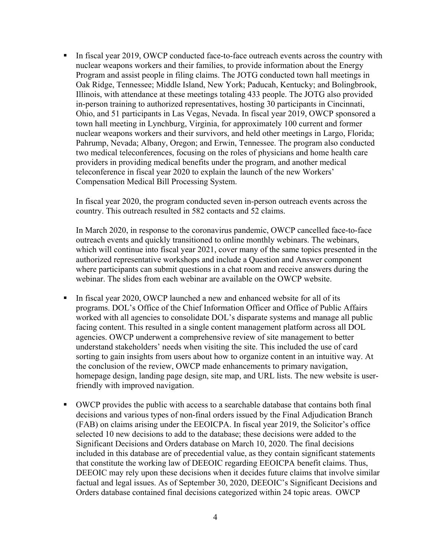In fiscal year 2019, OWCP conducted face-to-face outreach events across the country with nuclear weapons workers and their families, to provide information about the Energy Program and assist people in filing claims. The JOTG conducted town hall meetings in Oak Ridge, Tennessee; Middle Island, New York; Paducah, Kentucky; and Bolingbrook, Illinois, with attendance at these meetings totaling 433 people. The JOTG also provided in-person training to authorized representatives, hosting 30 participants in Cincinnati, Ohio, and 51 participants in Las Vegas, Nevada. In fiscal year 2019, OWCP sponsored a town hall meeting in Lynchburg, Virginia, for approximately 100 current and former nuclear weapons workers and their survivors, and held other meetings in Largo, Florida; Pahrump, Nevada; Albany, Oregon; and Erwin, Tennessee. The program also conducted two medical teleconferences, focusing on the roles of physicians and home health care providers in providing medical benefits under the program, and another medical teleconference in fiscal year 2020 to explain the launch of the new Workers' Compensation Medical Bill Processing System.

In fiscal year 2020, the program conducted seven in-person outreach events across the country. This outreach resulted in 582 contacts and 52 claims.

In March 2020, in response to the coronavirus pandemic, OWCP cancelled face-to-face outreach events and quickly transitioned to online monthly webinars. The webinars, which will continue into fiscal year 2021, cover many of the same topics presented in the authorized representative workshops and include a Question and Answer component where participants can submit questions in a chat room and receive answers during the webinar. The slides from each webinar are available on the OWCP website.

- In fiscal year 2020, OWCP launched a new and enhanced website for all of its programs. DOL's Office of the Chief Information Officer and Office of Public Affairs worked with all agencies to consolidate DOL's disparate systems and manage all public facing content. This resulted in a single content management platform across all DOL agencies. OWCP underwent a comprehensive review of site management to better understand stakeholders' needs when visiting the site. This included the use of card sorting to gain insights from users about how to organize content in an intuitive way. At the conclusion of the review, OWCP made enhancements to primary navigation, homepage design, landing page design, site map, and URL lists. The new website is userfriendly with improved navigation.
- OWCP provides the public with access to a searchable database that contains both final decisions and various types of non-final orders issued by the Final Adjudication Branch (FAB) on claims arising under the EEOICPA. In fiscal year 2019, the Solicitor's office selected 10 new decisions to add to the database; these decisions were added to the Significant Decisions and Orders database on March 10, 2020. The final decisions included in this database are of precedential value, as they contain significant statements that constitute the working law of DEEOIC regarding EEOICPA benefit claims. Thus, DEEOIC may rely upon these decisions when it decides future claims that involve similar factual and legal issues. As of September 30, 2020, DEEOIC's Significant Decisions and Orders database contained final decisions categorized within 24 topic areas. OWCP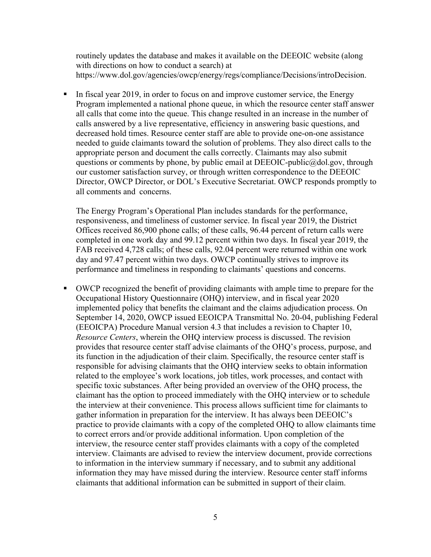routinely updates the database and makes it available on the DEEOIC website (along with directions on how to conduct a search) at https://www.dol.gov/agencies/owcp/energy/regs/compliance/Decisions/introDecision.

In fiscal year 2019, in order to focus on and improve customer service, the Energy Program implemented a national phone queue, in which the resource center staff answer all calls that come into the queue. This change resulted in an increase in the number of calls answered by a live representative, efficiency in answering basic questions, and decreased hold times. Resource center staff are able to provide one-on-one assistance needed to guide claimants toward the solution of problems. They also direct calls to the appropriate person and document the calls correctly. Claimants may also submit questions or comments by phone, by public email at DEEOIC-public@dol.gov, through our customer satisfaction survey, or through written correspondence to the DEEOIC Director, OWCP Director, or DOL's Executive Secretariat. OWCP responds promptly to all comments and concerns.

The Energy Program's Operational Plan includes standards for the performance, responsiveness, and timeliness of customer service. In fiscal year 2019, the District Offices received 86,900 phone calls; of these calls, 96.44 percent of return calls were completed in one work day and 99.12 percent within two days. In fiscal year 2019, the FAB received 4,728 calls; of these calls, 92.04 percent were returned within one work day and 97.47 percent within two days. OWCP continually strives to improve its performance and timeliness in responding to claimants' questions and concerns.

 OWCP recognized the benefit of providing claimants with ample time to prepare for the Occupational History Questionnaire (OHQ) interview, and in fiscal year 2020 implemented policy that benefits the claimant and the claims adjudication process. On September 14, 2020, OWCP issued EEOICPA Transmittal No. 20-04, publishing Federal (EEOICPA) Procedure Manual version 4.3 that includes a revision to Chapter 10, *Resource Centers*, wherein the OHQ interview process is discussed. The revision provides that resource center staff advise claimants of the OHQ's process, purpose, and its function in the adjudication of their claim. Specifically, the resource center staff is responsible for advising claimants that the OHQ interview seeks to obtain information related to the employee's work locations, job titles, work processes, and contact with specific toxic substances. After being provided an overview of the OHQ process, the claimant has the option to proceed immediately with the OHQ interview or to schedule the interview at their convenience. This process allows sufficient time for claimants to gather information in preparation for the interview. It has always been DEEOIC's practice to provide claimants with a copy of the completed OHQ to allow claimants time to correct errors and/or provide additional information. Upon completion of the interview, the resource center staff provides claimants with a copy of the completed interview. Claimants are advised to review the interview document, provide corrections to information in the interview summary if necessary, and to submit any additional information they may have missed during the interview. Resource center staff informs claimants that additional information can be submitted in support of their claim.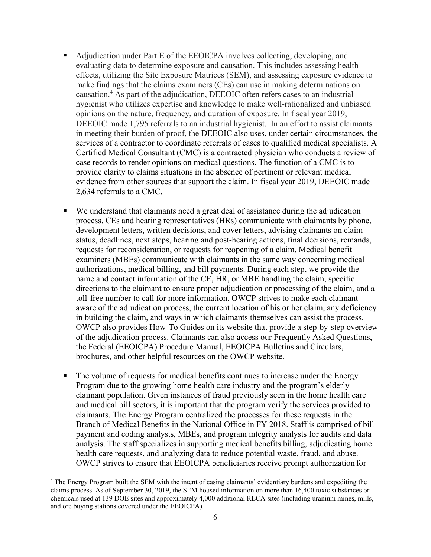- Adjudication under Part E of the EEOICPA involves collecting, developing, and evaluating data to determine exposure and causation. This includes assessing health effects, utilizing the Site Exposure Matrices (SEM), and assessing exposure evidence to make findings that the claims examiners (CEs) can use in making determinations on causation.4 As part of the adjudication, DEEOIC often refers cases to an industrial hygienist who utilizes expertise and knowledge to make well-rationalized and unbiased opinions on the nature, frequency, and duration of exposure. In fiscal year 2019, DEEOIC made 1,795 referrals to an industrial hygienist. In an effort to assist claimants in meeting their burden of proof, the DEEOIC also uses, under certain circumstances, the services of a contractor to coordinate referrals of cases to qualified medical specialists. A Certified Medical Consultant (CMC) is a contracted physician who conducts a review of case records to render opinions on medical questions. The function of a CMC is to provide clarity to claims situations in the absence of pertinent or relevant medical evidence from other sources that support the claim. In fiscal year 2019, DEEOIC made 2,634 referrals to a CMC.
- We understand that claimants need a great deal of assistance during the adjudication process. CEs and hearing representatives (HRs) communicate with claimants by phone, development letters, written decisions, and cover letters, advising claimants on claim status, deadlines, next steps, hearing and post-hearing actions, final decisions, remands, requests for reconsideration, or requests for reopening of a claim. Medical benefit examiners (MBEs) communicate with claimants in the same way concerning medical authorizations, medical billing, and bill payments. During each step, we provide the name and contact information of the CE, HR, or MBE handling the claim, specific directions to the claimant to ensure proper adjudication or processing of the claim, and a toll-free number to call for more information. OWCP strives to make each claimant aware of the adjudication process, the current location of his or her claim, any deficiency in building the claim, and ways in which claimants themselves can assist the process. OWCP also provides How-To Guides on its website that provide a step-by-step overview of the adjudication process. Claimants can also access our Frequently Asked Questions, the Federal (EEOICPA) Procedure Manual, EEOICPA Bulletins and Circulars, brochures, and other helpful resources on the OWCP website.
- The volume of requests for medical benefits continues to increase under the Energy Program due to the growing home health care industry and the program's elderly claimant population. Given instances of fraud previously seen in the home health care and medical bill sectors, it is important that the program verify the services provided to claimants. The Energy Program centralized the processes for these requests in the Branch of Medical Benefits in the National Office in FY 2018. Staff is comprised of bill payment and coding analysts, MBEs, and program integrity analysts for audits and data analysis. The staff specializes in supporting medical benefits billing, adjudicating home health care requests, and analyzing data to reduce potential waste, fraud, and abuse. OWCP strives to ensure that EEOICPA beneficiaries receive prompt authorization for

<sup>&</sup>lt;sup>4</sup> The Energy Program built the SEM with the intent of easing claimants' evidentiary burdens and expediting the claims process. As of September 30, 2019, the SEM housed information on more than 16,400 toxic substances or chemicals used at 139 DOE sites and approximately 4,000 additional RECA sites (including uranium mines, mills, and ore buying stations covered under the EEOICPA).